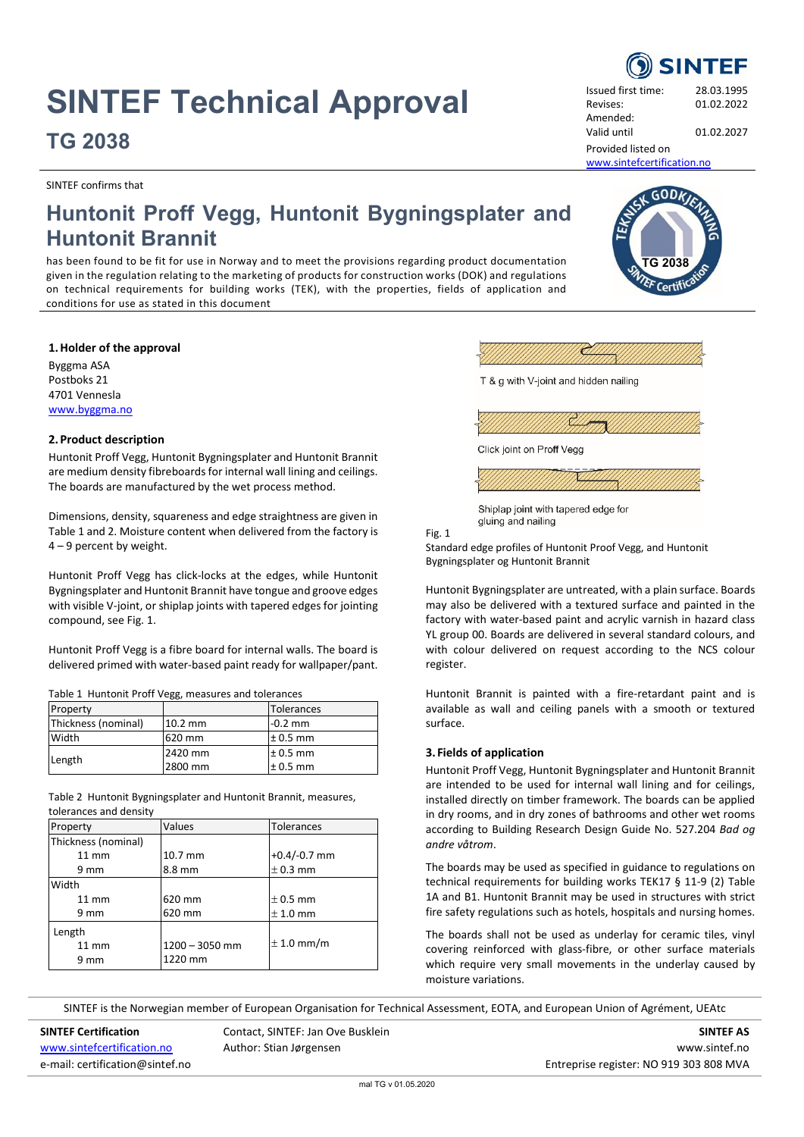# **SINTEF Technical Approval TG 2038**

SINTEF confirms that

Revises: 01.02.2022 Amended: Valid until 01.02.2027

Issued first time: 28.03.1995

**TG 2038**

GODA

Provided listed on [www.sintefcertification.no](http://www.sintefcertification.no/)

# **Huntonit Proff Vegg, Huntonit Bygningsplater and Huntonit Brannit**

has been found to be fit for use in Norway and to meet the provisions regarding product documentation given in the regulation relating to the marketing of products for construction works (DOK) and regulations on technical requirements for building works (TEK), with the properties, fields of application and conditions for use as stated in this document

# **1.Holder of the approval**

Byggma ASA Postboks 21 4701 Vennesla [www.byggma.no](http://www.byggma.no/)

# **2.Product description**

Huntonit Proff Vegg, Huntonit Bygningsplater and Huntonit Brannit are medium density fibreboards for internal wall lining and ceilings. The boards are manufactured by the wet process method.

Dimensions, density, squareness and edge straightness are given in Table 1 and 2. Moisture content when delivered from the factory is 4 – 9 percent by weight.

Huntonit Proff Vegg has click-locks at the edges, while Huntonit Bygningsplater and Huntonit Brannit have tongue and groove edges with visible V-joint, or shiplap joints with tapered edges for jointing compound, see Fig. 1.

Huntonit Proff Vegg is a fibre board for internal walls. The board is delivered primed with water-based paint ready for wallpaper/pant.

Table 1 Huntonit Proff Vegg, measures and tolerances

| Property            |           | Tolerances   |  |
|---------------------|-----------|--------------|--|
| Thickness (nominal) | $10.2$ mm | $-0.2$ mm    |  |
| Width               | 620 mm    | $± 0.5$ mm   |  |
| Length              | 2420 mm   | $\pm$ 0.5 mm |  |
|                     | 2800 mm   | $\pm$ 0.5 mm |  |

Table 2 Huntonit Bygningsplater and Huntonit Brannit, measures, tolerances and density

| Property            | Values<br>Tolerances |                |  |
|---------------------|----------------------|----------------|--|
| Thickness (nominal) |                      |                |  |
| $11 \text{ mm}$     | 10.7 mm              | $+0.4/-0.7$ mm |  |
| 9 mm                | 8.8 mm               | $± 0.3$ mm     |  |
| Width               |                      |                |  |
| $11 \text{ mm}$     | 620 mm               | $\pm$ 0.5 mm   |  |
| 9 mm                | 620 mm               | $± 1.0$ mm     |  |
| Length              |                      |                |  |
| $11 \text{ mm}$     | 1200 - 3050 mm       | $\pm$ 1.0 mm/m |  |
| 9 mm                | 1220 mm              |                |  |



Fig. 1

Standard edge profiles of Huntonit Proof Vegg, and Huntonit Bygningsplater og Huntonit Brannit

Huntonit Bygningsplater are untreated, with a plain surface. Boards may also be delivered with a textured surface and painted in the factory with water-based paint and acrylic varnish in hazard class YL group 00. Boards are delivered in several standard colours, and with colour delivered on request according to the NCS colour register.

Huntonit Brannit is painted with a fire-retardant paint and is available as wall and ceiling panels with a smooth or textured surface.

# **3. Fields of application**

Huntonit Proff Vegg, Huntonit Bygningsplater and Huntonit Brannit are intended to be used for internal wall lining and for ceilings, installed directly on timber framework. The boards can be applied in dry rooms, and in dry zones of bathrooms and other wet rooms according to Building Research Design Guide No. 527.204 *Bad og andre våtrom*.

The boards may be used as specified in guidance to regulations on technical requirements for building works TEK17 § 11-9 (2) Table 1A and B1. Huntonit Brannit may be used in structures with strict fire safety regulations such as hotels, hospitals and nursing homes.

The boards shall not be used as underlay for ceramic tiles, vinyl covering reinforced with glass-fibre, or other surface materials which require very small movements in the underlay caused by moisture variations.

SINTEF is the Norwegian member of European Organisation for Technical Assessment, EOTA, and European Union of Agrément, UEAtc

**SINTEF Certification SINTEF AS** Contact, SINTEF: Jan Ove Busklein **SINTEF AS** SINTEF AS [www.sintefcertification.no](http://www.sintefcertification.no/) and Author: Stian Jørgensen and and and all the state www.sintef.no e-mail: certification@sintef.no entreprise register: NO 919 303 808 MVA

**SINTEF**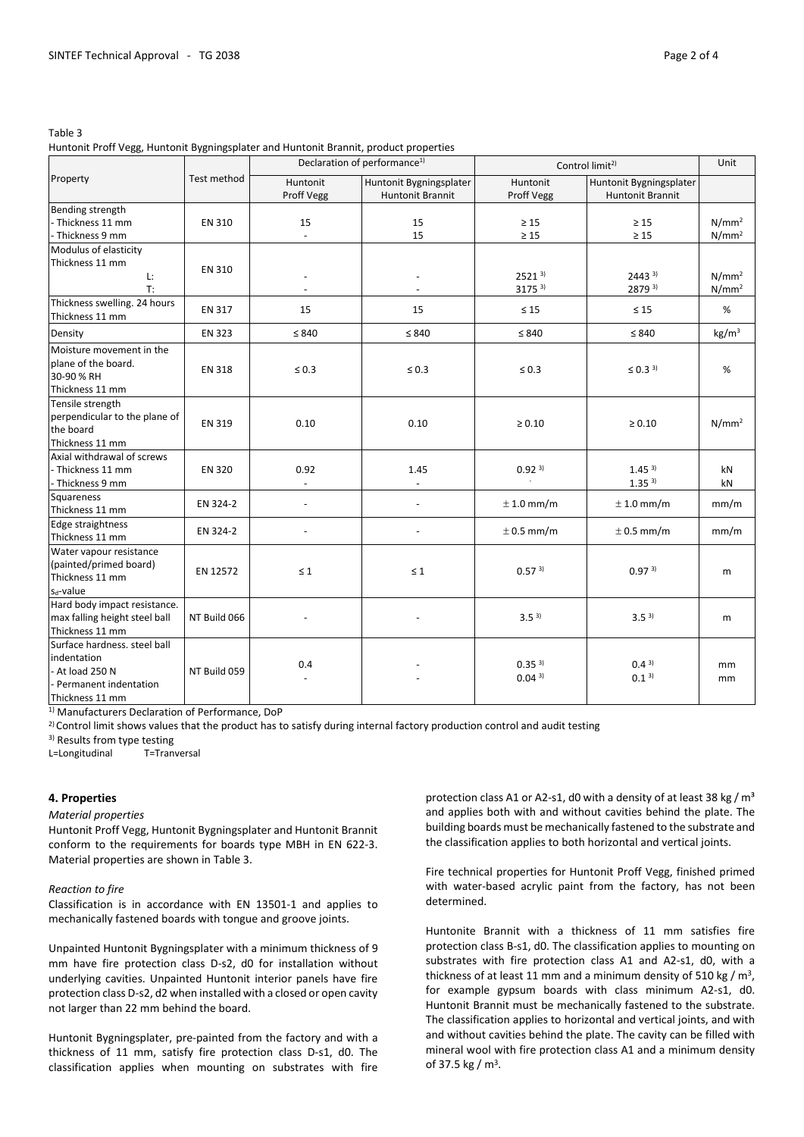#### Table 3

# Huntonit Proff Vegg, Huntonit Bygningsplater and Huntonit Brannit, product properties

| Property                                                                                                     | Test method   | Declaration of performance <sup>1)</sup> |                                                    | Control limit <sup>2)</sup>            |                                                    | Unit                                   |
|--------------------------------------------------------------------------------------------------------------|---------------|------------------------------------------|----------------------------------------------------|----------------------------------------|----------------------------------------------------|----------------------------------------|
|                                                                                                              |               | Huntonit<br>Proff Vegg                   | Huntonit Bygningsplater<br><b>Huntonit Brannit</b> | Huntonit<br>Proff Vegg                 | Huntonit Bygningsplater<br><b>Huntonit Brannit</b> |                                        |
| Bending strength<br>- Thickness 11 mm<br>- Thickness 9 mm                                                    | EN 310        | 15                                       | 15<br>15                                           | $\geq 15$<br>$\geq 15$                 | $\geq 15$<br>$\geq 15$                             | N/mm <sup>2</sup><br>N/mm <sup>2</sup> |
| Modulus of elasticity<br>Thickness 11 mm<br>Ŀ.<br>$T$ :                                                      | EN 310        |                                          |                                                    | $2521^{3}$<br>$3175^{3}$               | $2443^{3}$<br>2879 3)                              | $N/mm^2$<br>N/mm <sup>2</sup>          |
| Thickness swelling. 24 hours<br>Thickness 11 mm                                                              | EN 317        | 15                                       | 15                                                 | $\leq 15$                              | $\leq 15$                                          | %                                      |
| Density                                                                                                      | <b>EN 323</b> | $\leq 840$                               | $\leq 840$                                         | $\leq 840$                             | $\leq 840$                                         | kg/m <sup>3</sup>                      |
| Moisture movement in the<br>plane of the board.<br>30-90 % RH<br>Thickness 11 mm                             | <b>EN 318</b> | $\leq 0.3$                               | $\leq 0.3$                                         | $\leq 0.3$                             | $\leq 0.3^{3}$                                     | %                                      |
| Tensile strength<br>perpendicular to the plane of<br>the board<br>Thickness 11 mm                            | EN 319        | 0.10                                     | 0.10                                               | $\geq 0.10$                            | $\ge 0.10$                                         | N/mm <sup>2</sup>                      |
| Axial withdrawal of screws<br>- Thickness 11 mm<br>- Thickness 9 mm                                          | <b>EN 320</b> | 0.92                                     | 1.45                                               | 0.92 <sup>3</sup>                      | 1.45 <sup>3</sup><br>1.35 <sup>3</sup>             | kN<br>kN                               |
| <b>Squareness</b><br>Thickness 11 mm                                                                         | EN 324-2      | $\overline{\phantom{a}}$                 | $\overline{\phantom{a}}$                           | $\pm$ 1.0 mm/m                         | $± 1.0$ mm/m                                       | mm/m                                   |
| Edge straightness<br>Thickness 11 mm                                                                         | EN 324-2      |                                          |                                                    | $\pm$ 0.5 mm/m                         | $\pm$ 0.5 mm/m                                     | mm/m                                   |
| Water vapour resistance<br>(painted/primed board)<br>Thickness 11 mm<br>$s_d$ -value                         | EN 12572      | $\leq 1$                                 | $\leq 1$                                           | 0.57 <sup>3</sup>                      | 0.97 <sup>3</sup>                                  | m                                      |
| Hard body impact resistance.<br>max falling height steel ball<br>Thickness 11 mm                             | NT Build 066  |                                          |                                                    | 3.5 <sup>3</sup>                       | 3.5 <sup>3</sup>                                   | m                                      |
| Surface hardness, steel ball<br>indentation<br>- At load 250 N<br>- Permanent indentation<br>Thickness 11 mm | NT Build 059  | 0.4                                      |                                                    | 0.35 <sup>3</sup><br>0.04 <sup>3</sup> | 0.4 <sup>3</sup><br>0.1 <sup>3</sup>               | mm<br>mm                               |

1) Manufacturers Declaration of Performance, DoP

<sup>2)</sup> Control limit shows values that the product has to satisfy during internal factory production control and audit testing

3) Results from type testing

L=Longitudinal T=Tranversal

#### **4. Properties**

#### *Material properties*

Huntonit Proff Vegg, Huntonit Bygningsplater and Huntonit Brannit conform to the requirements for boards type MBH in EN 622-3. Material properties are shown in Table 3.

#### *Reaction to fire*

Classification is in accordance with EN 13501-1 and applies to mechanically fastened boards with tongue and groove joints.

Unpainted Huntonit Bygningsplater with a minimum thickness of 9 mm have fire protection class D-s2, d0 for installation without underlying cavities. Unpainted Huntonit interior panels have fire protection class D-s2, d2 when installed with a closed or open cavity not larger than 22 mm behind the board.

Huntonit Bygningsplater, pre-painted from the factory and with a thickness of 11 mm, satisfy fire protection class D-s1, d0. The classification applies when mounting on substrates with fire protection class A1 or A2-s1, d0 with a density of at least 38 kg /  $m<sup>3</sup>$ and applies both with and without cavities behind the plate. The building boards must be mechanically fastened to the substrate and the classification applies to both horizontal and vertical joints.

Fire technical properties for Huntonit Proff Vegg, finished primed with water-based acrylic paint from the factory, has not been determined.

Huntonite Brannit with a thickness of 11 mm satisfies fire protection class B-s1, d0. The classification applies to mounting on substrates with fire protection class A1 and A2-s1, d0, with a thickness of at least 11 mm and a minimum density of 510 kg /  $m<sup>3</sup>$ , for example gypsum boards with class minimum A2-s1, d0. Huntonit Brannit must be mechanically fastened to the substrate. The classification applies to horizontal and vertical joints, and with and without cavities behind the plate. The cavity can be filled with mineral wool with fire protection class A1 and a minimum density of 37.5 kg / m3.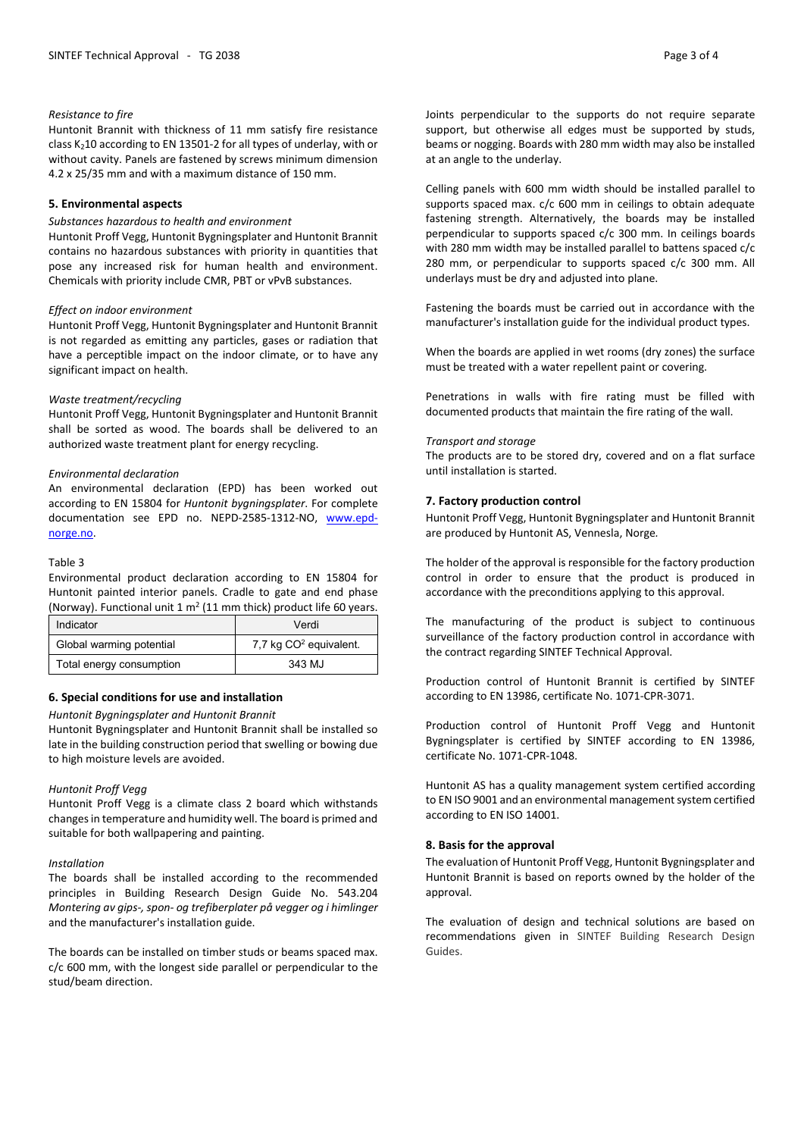# *Resistance to fire*

Huntonit Brannit with thickness of 11 mm satisfy fire resistance class  $K<sub>2</sub>10$  according to EN 13501-2 for all types of underlay, with or without cavity. Panels are fastened by screws minimum dimension 4.2 x 25/35 mm and with a maximum distance of 150 mm.

### **5. Environmental aspects**

#### *Substances hazardous to health and environment*

Huntonit Proff Vegg, Huntonit Bygningsplater and Huntonit Brannit contains no hazardous substances with priority in quantities that pose any increased risk for human health and environment. Chemicals with priority include CMR, PBT or vPvB substances.

#### *Effect on indoor environment*

Huntonit Proff Vegg, Huntonit Bygningsplater and Huntonit Brannit is not regarded as emitting any particles, gases or radiation that have a perceptible impact on the indoor climate, or to have any significant impact on health.

#### *Waste treatment/recycling*

Huntonit Proff Vegg, Huntonit Bygningsplater and Huntonit Brannit shall be sorted as wood. The boards shall be delivered to an authorized waste treatment plant for energy recycling.

#### *Environmental declaration*

An environmental declaration (EPD) has been worked out according to EN 15804 for *Huntonit bygningsplater*. For complete documentation see EPD no. NEPD-2585-1312-NO, [www.epd](http://www.epd-norge.no/)[norge.no.](http://www.epd-norge.no/)

#### Table 3

Environmental product declaration according to EN 15804 for Huntonit painted interior panels. Cradle to gate and end phase (Norway). Functional unit  $1 \text{ m}^2$  (11 mm thick) product life 60 years.

| Indicator                | Verdi                              |  |
|--------------------------|------------------------------------|--|
| Global warming potential | 7,7 kg CO <sup>2</sup> equivalent. |  |
| Total energy consumption | 343 MJ                             |  |

# **6. Special conditions for use and installation**

#### *Huntonit Bygningsplater and Huntonit Brannit*

Huntonit Bygningsplater and Huntonit Brannit shall be installed so late in the building construction period that swelling or bowing due to high moisture levels are avoided.

#### *Huntonit Proff Vegg*

Huntonit Proff Vegg is a climate class 2 board which withstands changes in temperature and humidity well. The board is primed and suitable for both wallpapering and painting.

#### *Installation*

The boards shall be installed according to the recommended principles in Building Research Design Guide No. 543.204 *Montering av gips-, spon- og trefiberplater på vegger og i himlinger* and the manufacturer's installation guide.

The boards can be installed on timber studs or beams spaced max. c/c 600 mm, with the longest side parallel or perpendicular to the stud/beam direction.

Joints perpendicular to the supports do not require separate support, but otherwise all edges must be supported by studs, beams or nogging. Boards with 280 mm width may also be installed at an angle to the underlay.

Celling panels with 600 mm width should be installed parallel to supports spaced max. c/c 600 mm in ceilings to obtain adequate fastening strength. Alternatively, the boards may be installed perpendicular to supports spaced c/c 300 mm. In ceilings boards with 280 mm width may be installed parallel to battens spaced c/c 280 mm, or perpendicular to supports spaced c/c 300 mm. All underlays must be dry and adjusted into plane.

Fastening the boards must be carried out in accordance with the manufacturer's installation guide for the individual product types.

When the boards are applied in wet rooms (dry zones) the surface must be treated with a water repellent paint or covering.

Penetrations in walls with fire rating must be filled with documented products that maintain the fire rating of the wall.

#### *Transport and storage*

The products are to be stored dry, covered and on a flat surface until installation is started.

#### **7. Factory production control**

Huntonit Proff Vegg, Huntonit Bygningsplater and Huntonit Brannit are produced by Huntonit AS, Vennesla, Norge*.*

The holder of the approval is responsible for the factory production control in order to ensure that the product is produced in accordance with the preconditions applying to this approval.

The manufacturing of the product is subject to continuous surveillance of the factory production control in accordance with the contract regarding SINTEF Technical Approval.

Production control of Huntonit Brannit is certified by SINTEF according to EN 13986, certificate No. 1071-CPR-3071.

Production control of Huntonit Proff Vegg and Huntonit Bygningsplater is certified by SINTEF according to EN 13986, certificate No. 1071-CPR-1048.

Huntonit AS has a quality management system certified according to EN ISO 9001 and an environmental management system certified according to EN ISO 14001.

# **8. Basis for the approval**

The evaluation of Huntonit Proff Vegg, Huntonit Bygningsplater and Huntonit Brannit is based on reports owned by the holder of the approval.

The evaluation of design and technical solutions are based on recommendations given in SINTEF Building Research Design Guides.